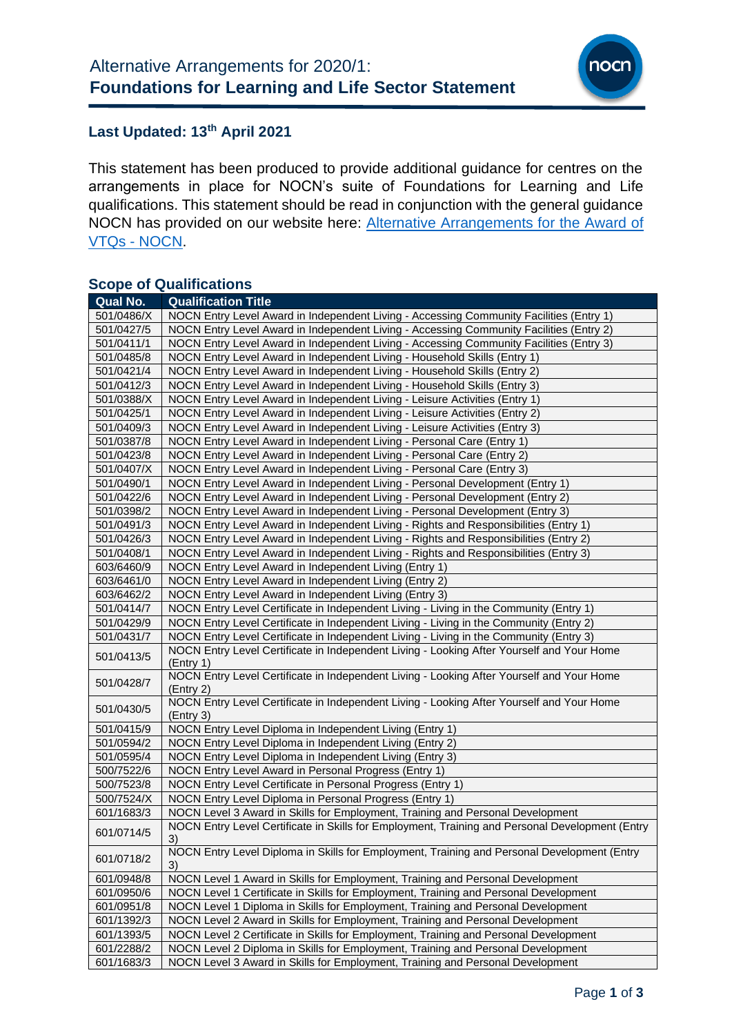

### **Last Updated: 13 th April 2021**

This statement has been produced to provide additional guidance for centres on the arrangements in place for NOCN's suite of Foundations for Learning and Life qualifications. This statement should be read in conjunction with the general guidance NOCN has provided on our website here: [Alternative Arrangements for the Award of](https://www.nocn.org.uk/centres/alternative-arrangements-for-the-award-of-vtqs-and-other-general-qualifications/)  VTQs - [NOCN.](https://www.nocn.org.uk/centres/alternative-arrangements-for-the-award-of-vtqs-and-other-general-qualifications/)

# **Scope of Qualifications**

| Qual No.   | <b>Qualification Title</b>                                                                             |
|------------|--------------------------------------------------------------------------------------------------------|
| 501/0486/X | NOCN Entry Level Award in Independent Living - Accessing Community Facilities (Entry 1)                |
| 501/0427/5 | NOCN Entry Level Award in Independent Living - Accessing Community Facilities (Entry 2)                |
| 501/0411/1 | NOCN Entry Level Award in Independent Living - Accessing Community Facilities (Entry 3)                |
| 501/0485/8 | NOCN Entry Level Award in Independent Living - Household Skills (Entry 1)                              |
| 501/0421/4 | NOCN Entry Level Award in Independent Living - Household Skills (Entry 2)                              |
| 501/0412/3 | NOCN Entry Level Award in Independent Living - Household Skills (Entry 3)                              |
| 501/0388/X | NOCN Entry Level Award in Independent Living - Leisure Activities (Entry 1)                            |
| 501/0425/1 | NOCN Entry Level Award in Independent Living - Leisure Activities (Entry 2)                            |
| 501/0409/3 | NOCN Entry Level Award in Independent Living - Leisure Activities (Entry 3)                            |
| 501/0387/8 | NOCN Entry Level Award in Independent Living - Personal Care (Entry 1)                                 |
| 501/0423/8 | NOCN Entry Level Award in Independent Living - Personal Care (Entry 2)                                 |
| 501/0407/X | NOCN Entry Level Award in Independent Living - Personal Care (Entry 3)                                 |
| 501/0490/1 | NOCN Entry Level Award in Independent Living - Personal Development (Entry 1)                          |
| 501/0422/6 | NOCN Entry Level Award in Independent Living - Personal Development (Entry 2)                          |
| 501/0398/2 | NOCN Entry Level Award in Independent Living - Personal Development (Entry 3)                          |
| 501/0491/3 | NOCN Entry Level Award in Independent Living - Rights and Responsibilities (Entry 1)                   |
| 501/0426/3 | NOCN Entry Level Award in Independent Living - Rights and Responsibilities (Entry 2)                   |
| 501/0408/1 | NOCN Entry Level Award in Independent Living - Rights and Responsibilities (Entry 3)                   |
| 603/6460/9 | NOCN Entry Level Award in Independent Living (Entry 1)                                                 |
| 603/6461/0 | NOCN Entry Level Award in Independent Living (Entry 2)                                                 |
| 603/6462/2 | NOCN Entry Level Award in Independent Living (Entry 3)                                                 |
| 501/0414/7 | NOCN Entry Level Certificate in Independent Living - Living in the Community (Entry 1)                 |
| 501/0429/9 | NOCN Entry Level Certificate in Independent Living - Living in the Community (Entry 2)                 |
| 501/0431/7 | NOCN Entry Level Certificate in Independent Living - Living in the Community (Entry 3)                 |
| 501/0413/5 | NOCN Entry Level Certificate in Independent Living - Looking After Yourself and Your Home<br>(Entry 1) |
| 501/0428/7 | NOCN Entry Level Certificate in Independent Living - Looking After Yourself and Your Home<br>(Entry 2) |
| 501/0430/5 | NOCN Entry Level Certificate in Independent Living - Looking After Yourself and Your Home<br>(Entry 3) |
| 501/0415/9 | NOCN Entry Level Diploma in Independent Living (Entry 1)                                               |
| 501/0594/2 | NOCN Entry Level Diploma in Independent Living (Entry 2)                                               |
| 501/0595/4 | NOCN Entry Level Diploma in Independent Living (Entry 3)                                               |
| 500/7522/6 | NOCN Entry Level Award in Personal Progress (Entry 1)                                                  |
| 500/7523/8 | NOCN Entry Level Certificate in Personal Progress (Entry 1)                                            |
| 500/7524/X | NOCN Entry Level Diploma in Personal Progress (Entry 1)                                                |
| 601/1683/3 | NOCN Level 3 Award in Skills for Employment, Training and Personal Development                         |
| 601/0714/5 | NOCN Entry Level Certificate in Skills for Employment, Training and Personal Development (Entry<br>3)  |
| 601/0718/2 | NOCN Entry Level Diploma in Skills for Employment, Training and Personal Development (Entry<br>3)      |
| 601/0948/8 | NOCN Level 1 Award in Skills for Employment, Training and Personal Development                         |
| 601/0950/6 | NOCN Level 1 Certificate in Skills for Employment, Training and Personal Development                   |
| 601/0951/8 | NOCN Level 1 Diploma in Skills for Employment, Training and Personal Development                       |
| 601/1392/3 | NOCN Level 2 Award in Skills for Employment, Training and Personal Development                         |
| 601/1393/5 | NOCN Level 2 Certificate in Skills for Employment, Training and Personal Development                   |
| 601/2288/2 | NOCN Level 2 Diploma in Skills for Employment, Training and Personal Development                       |
| 601/1683/3 | NOCN Level 3 Award in Skills for Employment, Training and Personal Development                         |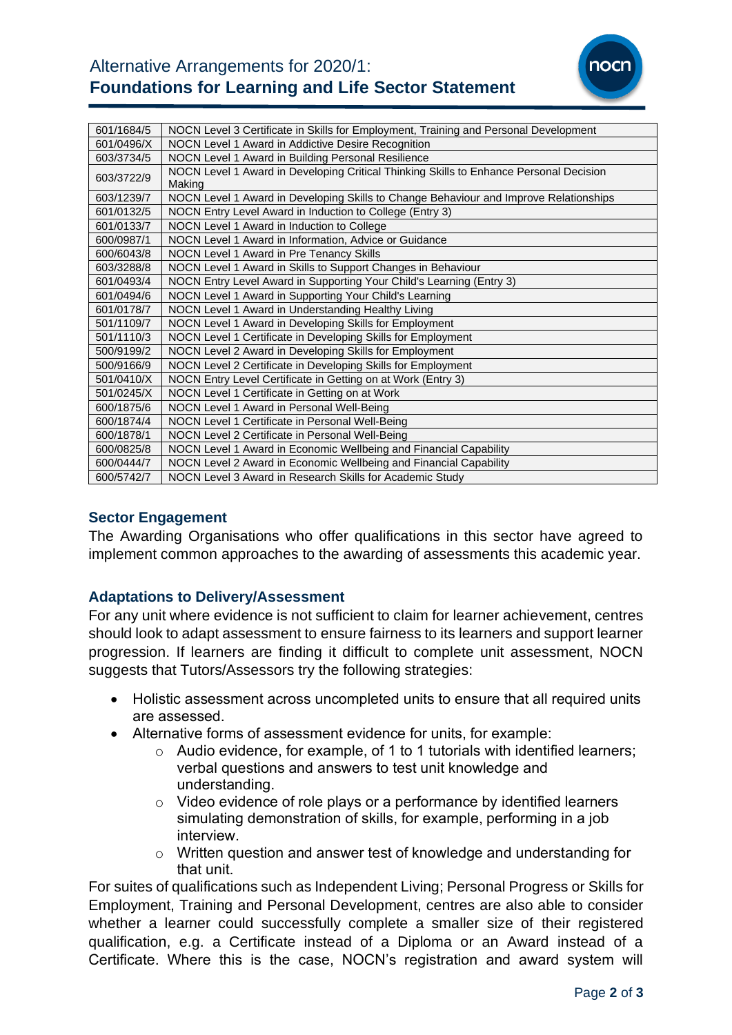

| 601/1684/5 | NOCN Level 3 Certificate in Skills for Employment, Training and Personal Development             |
|------------|--------------------------------------------------------------------------------------------------|
| 601/0496/X | NOCN Level 1 Award in Addictive Desire Recognition                                               |
| 603/3734/5 | NOCN Level 1 Award in Building Personal Resilience                                               |
| 603/3722/9 | NOCN Level 1 Award in Developing Critical Thinking Skills to Enhance Personal Decision<br>Making |
| 603/1239/7 | NOCN Level 1 Award in Developing Skills to Change Behaviour and Improve Relationships            |
| 601/0132/5 | NOCN Entry Level Award in Induction to College (Entry 3)                                         |
| 601/0133/7 | NOCN Level 1 Award in Induction to College                                                       |
| 600/0987/1 | NOCN Level 1 Award in Information, Advice or Guidance                                            |
| 600/6043/8 | NOCN Level 1 Award in Pre Tenancy Skills                                                         |
| 603/3288/8 | NOCN Level 1 Award in Skills to Support Changes in Behaviour                                     |
| 601/0493/4 | NOCN Entry Level Award in Supporting Your Child's Learning (Entry 3)                             |
| 601/0494/6 | NOCN Level 1 Award in Supporting Your Child's Learning                                           |
| 601/0178/7 | NOCN Level 1 Award in Understanding Healthy Living                                               |
| 501/1109/7 | NOCN Level 1 Award in Developing Skills for Employment                                           |
| 501/1110/3 | NOCN Level 1 Certificate in Developing Skills for Employment                                     |
| 500/9199/2 | NOCN Level 2 Award in Developing Skills for Employment                                           |
| 500/9166/9 | NOCN Level 2 Certificate in Developing Skills for Employment                                     |
| 501/0410/X | NOCN Entry Level Certificate in Getting on at Work (Entry 3)                                     |
| 501/0245/X | NOCN Level 1 Certificate in Getting on at Work                                                   |
| 600/1875/6 | NOCN Level 1 Award in Personal Well-Being                                                        |
| 600/1874/4 | NOCN Level 1 Certificate in Personal Well-Being                                                  |
| 600/1878/1 | NOCN Level 2 Certificate in Personal Well-Being                                                  |
| 600/0825/8 | NOCN Level 1 Award in Economic Wellbeing and Financial Capability                                |
| 600/0444/7 | NOCN Level 2 Award in Economic Wellbeing and Financial Capability                                |
| 600/5742/7 | NOCN Level 3 Award in Research Skills for Academic Study                                         |

### **Sector Engagement**

The Awarding Organisations who offer qualifications in this sector have agreed to implement common approaches to the awarding of assessments this academic year.

# **Adaptations to Delivery/Assessment**

For any unit where evidence is not sufficient to claim for learner achievement, centres should look to adapt assessment to ensure fairness to its learners and support learner progression. If learners are finding it difficult to complete unit assessment, NOCN suggests that Tutors/Assessors try the following strategies:

- Holistic assessment across uncompleted units to ensure that all required units are assessed.
- Alternative forms of assessment evidence for units, for example:
	- $\circ$  Audio evidence, for example, of 1 to 1 tutorials with identified learners; verbal questions and answers to test unit knowledge and understanding.
	- o Video evidence of role plays or a performance by identified learners simulating demonstration of skills, for example, performing in a job interview.
	- o Written question and answer test of knowledge and understanding for that unit.

For suites of qualifications such as Independent Living; Personal Progress or Skills for Employment, Training and Personal Development, centres are also able to consider whether a learner could successfully complete a smaller size of their registered qualification, e.g. a Certificate instead of a Diploma or an Award instead of a Certificate. Where this is the case, NOCN's registration and award system will